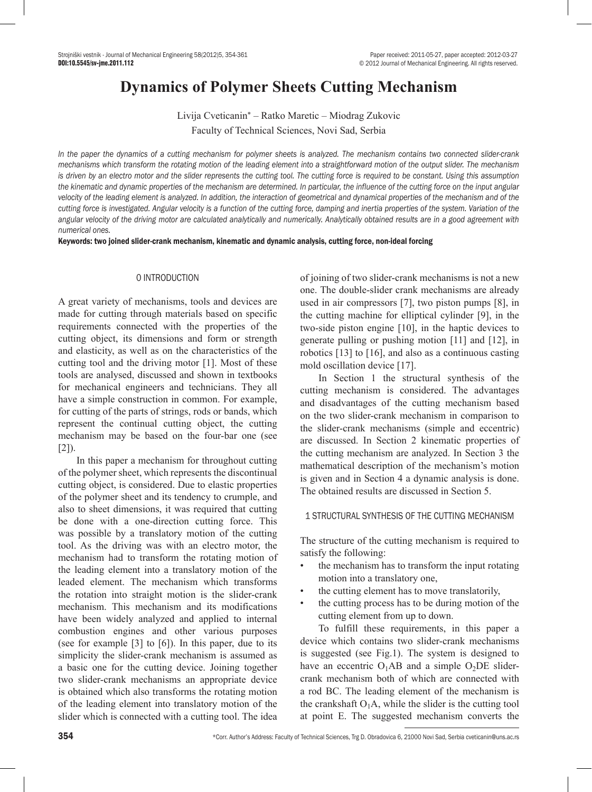# **Dynamics of Polymer Sheets Cutting Mechanism**

Livija Cveticanin\* *–* Ratko Maretic *–* Miodrag Zukovic Faculty of Technical Sciences, Novi Sad, Serbia

*In the paper the dynamics of a cutting mechanism for polymer sheets is analyzed. The mechanism contains two connected slider-crank mechanisms which transform the rotating motion of the leading element into a straightforward motion of the output slider. The mechanism*  is driven by an electro motor and the slider represents the cutting tool. The cutting force is required to be constant. Using this assumption *the kinematic and dynamic properties of the mechanism are determined. In particular, the influence of the cutting force on the input angular velocity of the leading element is analyzed. In addition, the interaction of geometrical and dynamical properties of the mechanism and of the cutting force is investigated. Angular velocity is a function of the cutting force, damping and inertia properties of the system. Variation of the angular velocity of the driving motor are calculated analytically and numerically. Analytically obtained results are in a good agreement with numerical ones.*

Keywords: two joined slider-crank mechanism, kinematic and dynamic analysis, cutting force, non-ideal forcing

## 0 INTRODUCTION

A great variety of mechanisms, tools and devices are made for cutting through materials based on specific requirements connected with the properties of the cutting object, its dimensions and form or strength and elasticity, as well as on the characteristics of the cutting tool and the driving motor [1]. Most of these tools are analysed, discussed and shown in textbooks for mechanical engineers and technicians. They all have a simple construction in common. For example, for cutting of the parts of strings, rods or bands, which represent the continual cutting object, the cutting mechanism may be based on the four-bar one (see  $[2]$ ).

In this paper a mechanism for throughout cutting of the polymer sheet, which represents the discontinual cutting object, is considered. Due to elastic properties of the polymer sheet and its tendency to crumple, and also to sheet dimensions, it was required that cutting be done with a one-direction cutting force. This was possible by a translatory motion of the cutting tool. As the driving was with an electro motor, the mechanism had to transform the rotating motion of the leading element into a translatory motion of the leaded element. The mechanism which transforms the rotation into straight motion is the slider-crank mechanism. This mechanism and its modifications have been widely analyzed and applied to internal combustion engines and other various purposes (see for example [3] to [6]). In this paper, due to its simplicity the slider-crank mechanism is assumed as a basic one for the cutting device. Joining together two slider-crank mechanisms an appropriate device is obtained which also transforms the rotating motion of the leading element into translatory motion of the slider which is connected with a cutting tool. The idea

of joining of two slider-crank mechanisms is not a new one. The double-slider crank mechanisms are already used in air compressors [7], two piston pumps [8], in the cutting machine for elliptical cylinder [9], in the two-side piston engine [10], in the haptic devices to generate pulling or pushing motion [11] and [12], in robotics [13] to [16], and also as a continuous casting mold oscillation device [17].

In Section 1 the structural synthesis of the cutting mechanism is considered. The advantages and disadvantages of the cutting mechanism based on the two slider-crank mechanism in comparison to the slider-crank mechanisms (simple and eccentric) are discussed. In Section 2 kinematic properties of the cutting mechanism are analyzed. In Section 3 the mathematical description of the mechanism's motion is given and in Section 4 a dynamic analysis is done. The obtained results are discussed in Section 5.

## 1 STRUCTURAL SYNTHESIS OF THE CUTTING MECHANISM

The structure of the cutting mechanism is required to satisfy the following:

- the mechanism has to transform the input rotating motion into a translatory one,
- the cutting element has to move translatorily,
- the cutting process has to be during motion of the cutting element from up to down.

To fulfill these requirements, in this paper a device which contains two slider-crank mechanisms is suggested (see Fig.1). The system is designed to have an eccentric  $O_1AB$  and a simple  $O_2DE$  slidercrank mechanism both of which are connected with a rod BC. The leading element of the mechanism is the crankshaft  $O_1A$ , while the slider is the cutting tool at point E. The suggested mechanism converts the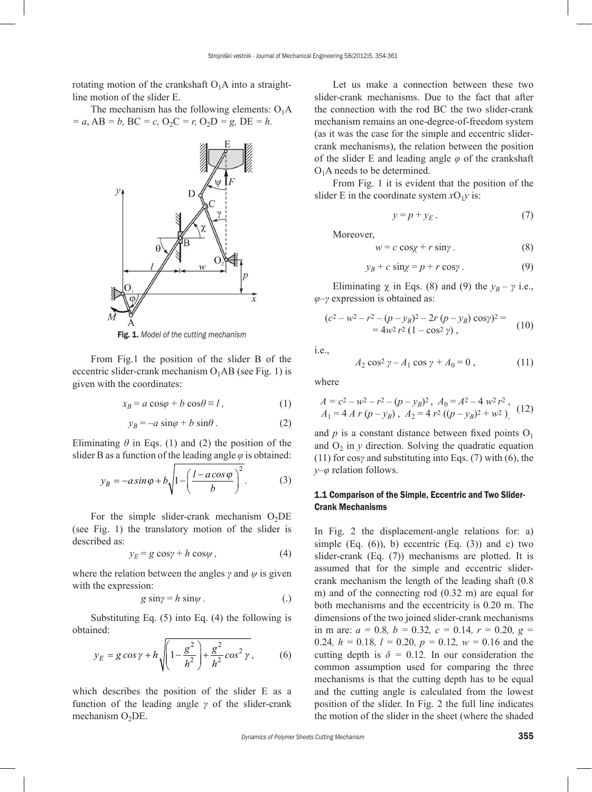rotating motion of the crankshaft  $O_1A$  into a straightline motion of the slider E.

The mechanism has the following elements:  $O_1A$  $= a, AB = b, BC = c, O_2C = r, O_2D = g, DE = h.$ 



Fig. 1. *Model of the cutting mechanism*

From Fig.1 the position of the slider B of the eccentric slider-crank mechanism  $O_1AB$  (see Fig. 1) is given with the coordinates:

$$
x_B = a\cos\varphi + b\cos\theta \equiv l\,,\tag{1}
$$

$$
y_B = -a \sin\varphi + b \sin\theta. \tag{2}
$$

Eliminating  $\theta$  in Eqs. (1) and (2) the position of the slider B as a function of the leading angle *φ* is obtained:

$$
y_B = -a\sin\varphi + b\sqrt{1 - \left(\frac{l - a\cos\varphi}{b}\right)^2}.
$$
 (3)

For the simple slider-crank mechanism  $O<sub>2</sub>DE$ (see Fig. 1) the translatory motion of the slider is described as:

$$
y_E = g \cos\gamma + h \cos\gamma \tag{4}
$$

where the relation between the angles  $\gamma$  and  $\psi$  is given with the expression:

$$
g \sin \gamma = h \sin \gamma . \tag{1}
$$

Substituting Eq. (5) into Eq. (4) the following is obtained:

$$
y_E = g \cos \gamma + h \sqrt{1 - \frac{g^2}{h^2}} + \frac{g^2}{h^2} \cos^2 \gamma, \qquad (6)
$$

which describes the position of the slider E as a function of the leading angle *γ* of the slider-crank mechanism  $O<sub>2</sub>DE$ .

Let us make a connection between these two slider-crank mechanisms. Due to the fact that after the connection with the rod BC the two slider-crank mechanism remains an one-degree-of-freedom system (as it was the case for the simple and eccentric slidercrank mechanisms), the relation between the position of the slider E and leading angle *φ* of the crankshaft O1A needs to be determined.

From Fig. 1 it is evident that the position of the slider E in the coordinate system  $xO_1y$  is:

$$
y = p + y_E. \tag{7}
$$

Moreover,

$$
w = c \cos\chi + r \sin\gamma \,. \tag{8}
$$

$$
y_B + c \sin \chi = p + r \cos \gamma \,. \tag{9}
$$

Eliminating  $\chi$  in Eqs. (8) and (9) the  $y_B - \gamma$  i.e., *φ–γ* expression is obtained as:

$$
(c2 - w2 - r2 - (p - yB)2 - 2r (p - yB) cos\gamma)2 =
$$
  
= 4w<sup>2</sup> r<sup>2</sup> (1 - cos<sup>2</sup> \gamma), (10)

i.e.,

$$
A_2 \cos^2 \gamma - A_1 \cos \gamma + A_0 = 0 , \qquad (11)
$$

where

$$
A = c2 - w2 - r2 - (p - yB)2, A0 = A2 - 4 w2 r2,A1 = 4 A r (p - yB), A2 = 4 r2 ((p - yB)2 + w2), (12)
$$

and  $p$  is a constant distance between fixed points  $O<sub>1</sub>$ and  $O_2$  in *y* direction. Solving the quadratic equation (11) for cos*γ* and substituting into Eqs. (7) with (6), the *y–φ* relation follows.

## 1.1 Comparison of the Simple, Eccentric and Two Slider-Crank Mechanisms

In Fig. 2 the displacement-angle relations for: a) simple  $(Eq. (6))$ , b) eccentric  $(Eq. (3))$  and c) two slider-crank (Eq. (7)) mechanisms are plotted. It is assumed that for the simple and eccentric slidercrank mechanism the length of the leading shaft (0.8 m) and of the connecting rod (0.32 m) are equal for both mechanisms and the eccentricity is 0.20 m. The dimensions of the two joined slider-crank mechanisms in m are: *a =* 0.8*, b =* 0.32*, c =* 0.14*, r =* 0.20*, g =*  0.24*, h* = 0.18*, l* = 0.20*, p* = 0.12*, w* = 0.16 and the cutting depth is  $\delta = 0.12$ . In our consideration the common assumption used for comparing the three mechanisms is that the cutting depth has to be equal and the cutting angle is calculated from the lowest position of the slider. In Fig. 2 the full line indicates the motion of the slider in the sheet (where the shaded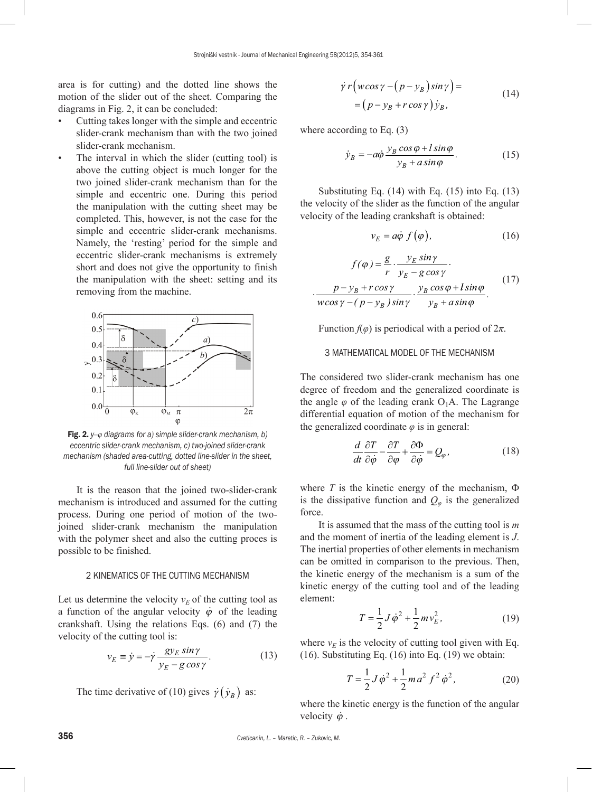area is for cutting) and the dotted line shows the motion of the slider out of the sheet. Comparing the diagrams in Fig. 2, it can be concluded:

- Cutting takes longer with the simple and eccentric slider-crank mechanism than with the two joined slider-crank mechanism.
- The interval in which the slider (cutting tool) is above the cutting object is much longer for the two joined slider-crank mechanism than for the simple and eccentric one. During this period the manipulation with the cutting sheet may be completed. This, however, is not the case for the simple and eccentric slider-crank mechanisms. Namely, the 'resting' period for the simple and eccentric slider-crank mechanisms is extremely short and does not give the opportunity to finish the manipulation with the sheet: setting and its removing from the machine.



Fig. 2. *y–φ diagrams for a) simple slider-crank mechanism, b) eccentric slider-crank mechanism, c) two-joined slider-crank mechanism (shaded area-cutting, dotted line-slider in the sheet, full line-slider out of sheet)*

It is the reason that the joined two-slider-crank mechanism is introduced and assumed for the cutting process. During one period of motion of the twojoined slider-crank mechanism the manipulation with the polymer sheet and also the cutting proces is possible to be finished.

#### 2 KINEMATICS OF THE CUTTING MECHANISM

Let us determine the velocity  $v_E$  of the cutting tool as a function of the angular velocity  $\dot{\varphi}$  of the leading crankshaft. Using the relations Eqs. (6) and (7) the velocity of the cutting tool is:

$$
v_E \equiv \dot{y} = -\dot{\gamma} \frac{gy_E \sin \gamma}{y_E - g \cos \gamma}.
$$
 (13)

The time derivative of (10) gives  $\dot{\gamma}(\dot{y}_B)$  as:

$$
\dot{\gamma} r \left( w \cos \gamma - (p - y_B) \sin \gamma \right) =
$$
\n
$$
= (p - y_B + r \cos \gamma) \dot{y}_B,
$$
\n(14)

where according to Eq. (3)

$$
\dot{y}_B = -a\dot{\phi}\frac{y_B\cos\varphi + l\sin\varphi}{y_B + a\sin\varphi}.\tag{15}
$$

Substituting Eq.  $(14)$  with Eq.  $(15)$  into Eq.  $(13)$ the velocity of the slider as the function of the angular velocity of the leading crankshaft is obtained:

$$
v_E = a\dot{\phi} f(\phi), \qquad (16)
$$

$$
f(\varphi) = \frac{g}{r} \cdot \frac{y_E \sin \gamma}{y_E - g \cos \gamma}.
$$
  

$$
\cdot \frac{p - y_B + r \cos \gamma}{w \cos \gamma - (p - y_B) \sin \gamma} \cdot \frac{y_B \cos \varphi + l \sin \varphi}{y_B + a \sin \varphi}.
$$
 (17)

Function  $f(\varphi)$  is periodical with a period of  $2\pi$ .

#### 3 MATHEMATICAL MODEL OF THE MECHANISM

The considered two slider-crank mechanism has one degree of freedom and the generalized coordinate is the angle  $\varphi$  of the leading crank O<sub>1</sub>A. The Lagrange differential equation of motion of the mechanism for the generalized coordinate  $\varphi$  is in general:

$$
\frac{d}{dt}\frac{\partial T}{\partial \dot{\phi}} - \frac{\partial T}{\partial \phi} + \frac{\partial \Phi}{\partial \dot{\phi}} = Q_{\phi},\qquad(18)
$$

where  $T$  is the kinetic energy of the mechanism,  $\Phi$ is the dissipative function and  $Q_\varphi$  is the generalized force.

It is assumed that the mass of the cutting tool is *m* and the moment of inertia of the leading element is *J*. The inertial properties of other elements in mechanism can be omitted in comparison to the previous. Then, the kinetic energy of the mechanism is a sum of the kinetic energy of the cutting tool and of the leading element:

$$
T = \frac{1}{2}J\dot{\varphi}^2 + \frac{1}{2}mv_E^2,
$$
 (19)

where  $v_F$  is the velocity of cutting tool given with Eq. (16). Substituting Eq. (16) into Eq. (19) we obtain:

$$
T = \frac{1}{2}J\dot{\phi}^2 + \frac{1}{2}ma^2 f^2 \dot{\phi}^2,
$$
 (20)

where the kinetic energy is the function of the angular velocity  $\dot{\varphi}$ .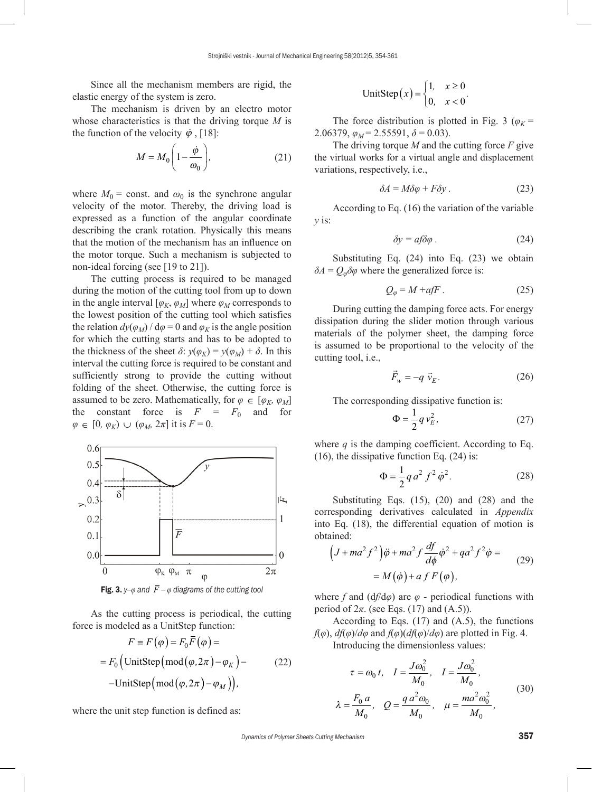Since all the mechanism members are rigid, the elastic energy of the system is zero.

The mechanism is driven by an electro motor whose characteristics is that the driving torque *M* is the function of the velocity  $\dot{\phi}$ , [18]:

$$
M = M_0 \left( 1 - \frac{\dot{\varphi}}{\omega_0} \right),\tag{21}
$$

where  $M_0$  = const. and  $\omega_0$  is the synchrone angular velocity of the motor. Thereby, the driving load is expressed as a function of the angular coordinate describing the crank rotation. Physically this means that the motion of the mechanism has an influence on the motor torque. Such a mechanism is subjected to non-ideal forcing (see [19 to 21]).

The cutting process is required to be managed during the motion of the cutting tool from up to down in the angle interval  $[\varphi_K, \varphi_M]$  where  $\varphi_M$  corresponds to the lowest position of the cutting tool which satisfies the relation  $dy(\varphi_M) / d\varphi = 0$  and  $\varphi_K$  is the angle position for which the cutting starts and has to be adopted to the thickness of the sheet  $\delta$ :  $y(\varphi_K) = y(\varphi_M) + \delta$ . In this interval the cutting force is required to be constant and sufficiently strong to provide the cutting without folding of the sheet. Otherwise, the cutting force is assumed to be zero. Mathematically, for  $\varphi \in [\varphi_K, \varphi_M]$ the constant force is  $F = F_0$  and for  $\varphi \in [0, \varphi_K) \cup (\varphi_M, 2\pi]$  it is  $F = 0$ .



Fig. 3. *y–φ and F – φ diagrams of the cutting tool*

As the cutting process is periodical, the cutting force is modeled as a UnitStep function:

$$
F \equiv F(\varphi) = F_0 F(\varphi) =
$$
  
=  $F_0 \left( \text{UnitStep} \left( \text{mod} \left( \varphi, 2\pi \right) - \varphi_K \right) - \right)$  (22)  
-UnitStep  $\left( \text{mod} \left( \varphi, 2\pi \right) - \varphi_M \right)$ 

where the unit step function is defined as:

$$
UnitStep(x) = \begin{cases} 1, & x \ge 0 \\ 0, & x < 0 \end{cases}
$$

The force distribution is plotted in Fig. 3 ( $\varphi_K$  = 2.06379,  $\varphi_M$  = 2.55591,  $\delta$  = 0.03).

The driving torque *M* and the cutting force *F* give the virtual works for a virtual angle and displacement variations, respectively, i.e.,

$$
\delta A = M \delta \varphi + F \delta y \,. \tag{23}
$$

According to Eq. (16) the variation of the variable *y* is:

$$
\delta y = af \delta \varphi \,. \tag{24}
$$

Substituting Eq. (24) into Eq. (23) we obtain  $δA = Q<sub>φ</sub>δφ$  where the generalized force is:

$$
Q_{\varphi} = M + afF. \tag{25}
$$

During cutting the damping force acts. For energy dissipation during the slider motion through various materials of the polymer sheet, the damping force is assumed to be proportional to the velocity of the cutting tool, i.e.,

$$
\vec{F}_w = -q \vec{v}_E. \tag{26}
$$

The corresponding dissipative function is:

$$
\Phi = \frac{1}{2} q v_E^2, \tag{27}
$$

where  $q$  is the damping coefficient. According to Eq. (16), the dissipative function Eq. (24) is:

$$
\Phi = \frac{1}{2} q a^2 f^2 \dot{\phi}^2.
$$
 (28)

Substituting Eqs. (15), (20) and (28) and the corresponding derivatives calculated in *Appendix* into Eq. (18), the differential equation of motion is obtained:

$$
\left(J + ma^2 f^2\right)\ddot{\varphi} + ma^2 f \frac{df}{d\phi}\dot{\varphi}^2 + qa^2 f^2 \dot{\varphi} =
$$
  
=  $M(\dot{\varphi}) + a f F(\varphi)$ , (29)

where *f* and  $\left(\frac{df}{d\varphi}\right)$  are  $\varphi$  - periodical functions with period of  $2\pi$ . (see Eqs. (17) and (A.5)).

According to Eqs. (17) and (A.5), the functions *f*( $\varphi$ ), *df*( $\varphi$ )/*d* $\varphi$  and *f*( $\varphi$ )(*df*( $\varphi$ )/*d* $\varphi$ ) are plotted in Fig. 4.

Introducing the dimensionless values:

$$
\tau = \omega_0 t, \quad I = \frac{J\omega_0^2}{M_0}, \quad I = \frac{J\omega_0^2}{M_0},
$$

$$
\lambda = \frac{F_0 a}{M_0}, \quad Q = \frac{q a^2 \omega_0}{M_0}, \quad \mu = \frac{m a^2 \omega_0^2}{M_0},
$$
(30)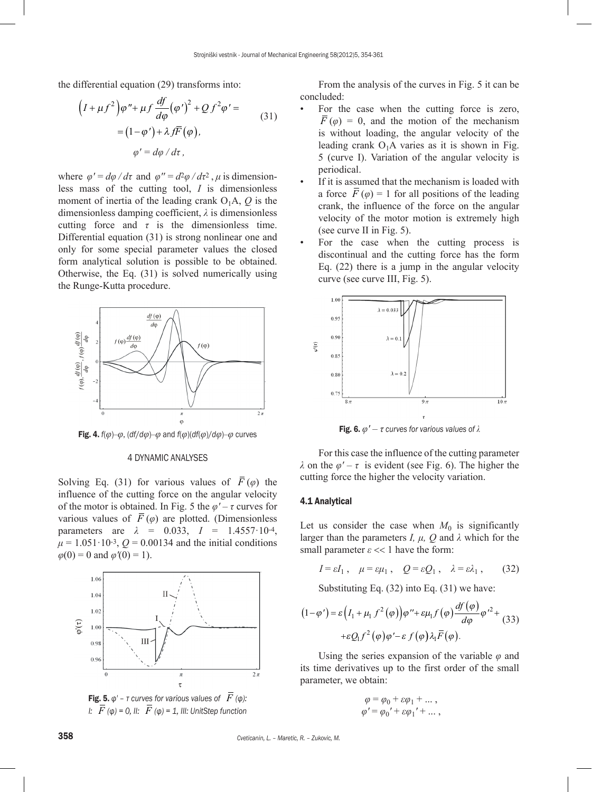the differential equation (29) transforms into:

$$
\left(I + \mu f^2\right)\varphi'' + \mu f \frac{df}{d\varphi}(\varphi')^2 + Q f^2 \varphi' =
$$
  
=  $(1 - \varphi') + \lambda f \overline{F}(\varphi)$ ,  
 $\varphi' = d\varphi / d\tau$ , (31)

where  $\varphi' = d\varphi / d\tau$  and  $\varphi'' = d^2\varphi / d\tau^2$ ,  $\mu$  is dimensionless mass of the cutting tool, *I* is dimensionless moment of inertia of the leading crank  $O_1A$ ,  $O$  is the dimensionless damping coefficient, *λ* is dimensionless cutting force and  $\tau$  is the dimensionless time. Differential equation (31) is strong nonlinear one and only for some special parameter values the closed form analytical solution is possible to be obtained. Otherwise, the Eq. (31) is solved numerically using the Runge-Kutta procedure.



**Fig. 4.**  $f(\varphi) - \varphi$ ,  $(df/d\varphi) - \varphi$  and  $f(\varphi)(df(\varphi)/d\varphi) - \varphi$  curves

## 4 DYNAMIC ANALYSES

Solving Eq. (31) for various values of  $\overline{F}(\varphi)$  the influence of the cutting force on the angular velocity of the motor is obtained. In Fig. 5 the *φ' – τ* curves for various values of  $\overline{F}(\varphi)$  are plotted. (Dimensionless parameters are  $\lambda = 0.033$ ,  $I = 1.4557 \cdot 10^{-4}$ ,  $\mu = 1.051 \cdot 10^{-3}$ ,  $Q = 0.00134$  and the initial conditions  $\varphi(0) = 0$  and  $\varphi'(0) = 1$ ).



**Fig. 5.**  $\varphi'$  –  $\tau$  curves for various values of  $\overline{F}(\varphi)$ : *I: F (φ) = 0, II: F (φ) = 1, III: UnitStep function*

From the analysis of the curves in Fig. 5 it can be concluded:

- For the case when the cutting force is zero,  $\overline{F}(\varphi) = 0$ , and the motion of the mechanism is without loading, the angular velocity of the leading crank  $O_1A$  varies as it is shown in Fig. 5 (curve I). Variation of the angular velocity is periodical.
- If it is assumed that the mechanism is loaded with a force  $\overline{F}(\varphi) = 1$  for all positions of the leading crank, the influence of the force on the angular velocity of the motor motion is extremely high (see curve II in Fig. 5).
- For the case when the cutting process is discontinual and the cutting force has the form Eq. (22) there is a jump in the angular velocity curve (see curve III, Fig. 5).



**Fig. 6.**  $\varphi' - \tau$  curves for various values of  $\lambda$ 

For this case the influence of the cutting parameter *λ* on the  $\varphi'$  – τ is evident (see Fig. 6). The higher the cutting force the higher the velocity variation.

#### 4.1 Analytical

Let us consider the case when  $M_0$  is significantly larger than the parameters *I, μ, Q* and *λ* which for the small parameter  $\varepsilon \ll 1$  have the form:

$$
I = \varepsilon I_1 \,, \quad \mu = \varepsilon \mu_1 \,, \quad Q = \varepsilon Q_1 \,, \quad \lambda = \varepsilon \lambda_1 \,, \tag{32}
$$

Substituting Eq. (32) into Eq. (31) we have:

$$
(1 - \varphi') = \varepsilon \Big( I_1 + \mu_1 f^2(\varphi) \Big) \varphi'' + \varepsilon \mu_1 f(\varphi) \frac{df(\varphi)}{d\varphi} \varphi'^2 +
$$
  
+  $\varepsilon Q_1 f^2(\varphi) \varphi' - \varepsilon f(\varphi) \lambda_1 \overline{F}(\varphi).$  (33)

Using the series expansion of the variable *φ* and its time derivatives up to the first order of the small parameter, we obtain:

$$
\varphi = \varphi_0 + \varepsilon \varphi_1 + \dots ,
$$
  

$$
\varphi' = \varphi_0' + \varepsilon \varphi_1' + \dots ,
$$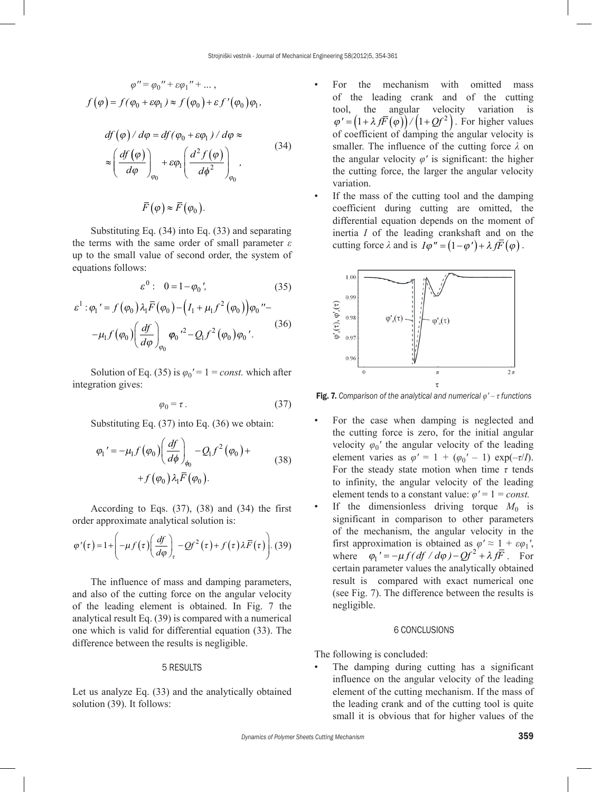$$
\varphi'' = \varphi_0'' + \varepsilon \varphi_1'' + \dots,
$$
  

$$
f(\varphi) = f(\varphi_0 + \varepsilon \varphi_1) \approx f(\varphi_0) + \varepsilon f'(\varphi_0) \varphi_1,
$$
  

$$
df(\varphi) / d\varphi = df(\varphi_0 + \varepsilon \varphi_1) / d\varphi \approx
$$
  

$$
\approx \left(\frac{df(\varphi)}{d\varphi}\right)_{\varphi_0} + \varepsilon \varphi_1 \left(\frac{d^2 f(\varphi)}{d\varphi^2}\right)_{\varphi_0},
$$
  

$$
\overline{F}(\varphi) \approx \overline{F}(\varphi_0).
$$
  
(34)

Substituting Eq. (34) into Eq. (33) and separating the terms with the same order of small parameter *ε* up to the small value of second order, the system of equations follows:

$$
\varepsilon^{0}: \quad 0 = 1 - \varphi_{0} \tag{35}
$$

$$
\varepsilon^{1} : \varphi_{1}^{\prime} = f(\varphi_{0}) \lambda_{1} \overline{F}(\varphi_{0}) - (I_{1} + \mu_{1} f^{2}(\varphi_{0})) \varphi_{0}^{\prime\prime} -
$$
  

$$
- \mu_{1} f(\varphi_{0}) \left(\frac{df}{d\varphi}\right)_{\varphi_{0}} \varphi_{0}^{\prime 2} - Q_{1} f^{2}(\varphi_{0}) \varphi_{0}^{\prime}.
$$
 (36)

Solution of Eq. (35) is  $\varphi_0' = 1 = const.$  which after integration gives:

$$
\varphi_0 = \tau \,. \tag{37}
$$

Substituting Eq. (37) into Eq. (36) we obtain:

$$
\varphi_1' = -\mu_1 f\left(\varphi_0\right) \left(\frac{df}{d\phi}\right)_{\phi_0} - Q_1 f^2\left(\varphi_0\right) +
$$
  
+  $f\left(\varphi_0\right) \lambda_1 \overline{F}\left(\varphi_0\right).$  (38)

According to Eqs. (37), (38) and (34) the first order approximate analytical solution is:

$$
\varphi'(\tau) = 1 + \left( -\mu f(\tau) \left( \frac{df}{d\varphi} \right)_\tau - Qf^2(\tau) + f(\tau) \lambda \overline{F}(\tau) \right). (39)
$$

The influence of mass and damping parameters, and also of the cutting force on the angular velocity of the leading element is obtained. In Fig. 7 the analytical result Eq. (39) is compared with a numerical one which is valid for differential equation (33). The difference between the results is negligible.

#### 5 RESULTS

Let us analyze Eq. (33) and the analytically obtained solution (39). It follows:

- For the mechanism with omitted mass of the leading crank and of the cutting tool, the angular velocity variation is  $\varphi' = (1 + \lambda f \overline{F}(\varphi)) / (1 + Qf^2)$ . For higher values of coefficient of damping the angular velocity is smaller. The influence of the cutting force *λ* on the angular velocity  $\varphi'$  is significant: the higher the cutting force, the larger the angular velocity variation.
- If the mass of the cutting tool and the damping coefficient during cutting are omitted, the differential equation depends on the moment of inertia *I* of the leading crankshaft and on the cutting force  $\lambda$  and is  $I\varphi'' = (1 - \varphi') + \lambda f \overline{F}(\varphi)$ .



Fig. 7. *Comparison of the analytical and numerical φ' – τ functions*

- For the case when damping is neglected and the cutting force is zero, for the initial angular velocity  $\varphi_0'$  the angular velocity of the leading element varies as  $\varphi' = 1 + (\varphi_0' - 1) \exp(-\tau/I)$ . For the steady state motion when time *τ* tends to infinity, the angular velocity of the leading element tends to a constant value:  $\varphi' = 1 = const.$
- If the dimensionless driving torque  $M_0$  is significant in comparison to other parameters of the mechanism, the angular velocity in the first approximation is obtained as  $\varphi' \approx 1 + \varepsilon \varphi_1'$ , where  $\varphi_1' = -\mu f (df / d\varphi) - Qf^2 + \lambda f \overline{F}$ . For certain parameter values the analytically obtained result is compared with exact numerical one (see Fig. 7). The difference between the results is negligible.

#### 6 CONCLUSIONS

The following is concluded:

The damping during cutting has a significant influence on the angular velocity of the leading element of the cutting mechanism. If the mass of the leading crank and of the cutting tool is quite small it is obvious that for higher values of the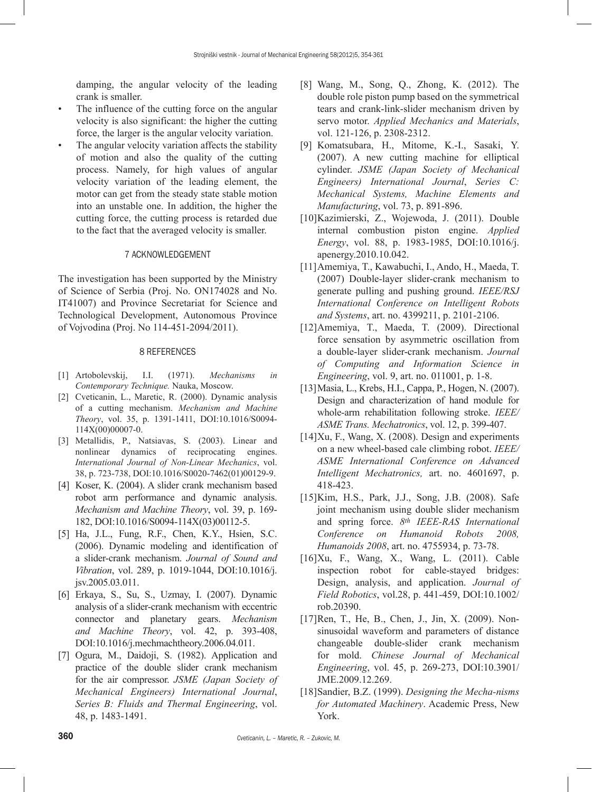damping, the angular velocity of the leading crank is smaller.

- The influence of the cutting force on the angular velocity is also significant: the higher the cutting force, the larger is the angular velocity variation.
- The angular velocity variation affects the stability of motion and also the quality of the cutting process. Namely, for high values of angular velocity variation of the leading element, the motor can get from the steady state stable motion into an unstable one. In addition, the higher the cutting force, the cutting process is retarded due to the fact that the averaged velocity is smaller.

### 7 ACKNOWLEDGEMENT

The investigation has been supported by the Ministry of Science of Serbia (Proj. No. ON174028 and No. IT41007) and Province Secretariat for Science and Technological Development, Autonomous Province of Vojvodina (Proj. No 114-451-2094/2011).

#### 8 REFERENCES

- [1] Artobolevskij, I.I. (1971). *Mechanisms in Contemporary Technique.* Nauka, Moscow.
- [2] Cveticanin, L., Maretic, R. (2000). Dynamic analysis of a cutting mechanism. *Mechanism and Machine Theory*, vol. 35, p. 1391-1411, [DOI:10.1016/S0094-](http://dx.doi.org/10.1016/S0094-114X(00)00007-0) [114X\(00\)00007-0](http://dx.doi.org/10.1016/S0094-114X(00)00007-0).
- [3] Metallidis, P., Natsiavas, S. (2003). Linear and nonlinear dynamics of reciprocating engines. *International Journal of Non-Linear Mechanics*, vol. 38, p. 723-738, [DOI:10.1016/S0020-7462\(01\)00129-9.](http://dx.doi.org/10.1016/S0020-7462(01)00129-9)
- [4] Koser, K. (2004). A slider crank mechanism based robot arm performance and dynamic analysis. *Mechanism and Machine Theory*, vol. 39, p. 169- 182, [DOI:10.1016/S0094-114X\(03\)00112-5](http://dx.doi.org/10.1016/S0094-114X(03)00112-5).
- [5] Ha, J.L., Fung, R.F., Chen, K.Y., Hsien, S.C. (2006). Dynamic modeling and identification of a slider-crank mechanism. *Journal of Sound and Vibration*, vol. 289, p. 1019-1044, [DOI:10.1016/j.](http://dx.doi.org/10.1016/j.jsv.2005.03.011) [jsv.2005.03.011](http://dx.doi.org/10.1016/j.jsv.2005.03.011).
- [6] Erkaya, S., Su, S., Uzmay, I. (2007). Dynamic analysis of a slider-crank mechanism with eccentric connector and planetary gears. *Mechanism and Machine Theory*, vol. 42, p. 393-408, [DOI:10.1016/j.mechmachtheory.2006.04.011.](http://dx.doi.org/10.1016/j.mechmachtheory.2006.04.011)
- [7] Ogura, M., Daidoji, S. (1982). Application and practice of the double slider crank mechanism for the air compressor. *JSME (Japan Society of Mechanical Engineers) International Journal*, *Series B: Fluids and Thermal Engineering*, vol. 48, p. 1483-1491.
- [8] Wang, M., Song, Q., Zhong, K. (2012). The double role piston pump based on the symmetrical tears and crank-link-slider mechanism driven by servo motor. *Applied Mechanics and Materials*, vol. 121-126, p. 2308-2312.
- [9] Komatsubara, H., Mitome, K.-I., Sasaki, Y. (2007). A new cutting machine for elliptical cylinder. *JSME (Japan Society of Mechanical Engineers) International Journal*, *Series C: Mechanical Systems, Machine Elements and Manufacturing*, vol. 73, p. 891-896.
- [10]Kazimierski, Z., Wojewoda, J. (2011). Double internal combustion piston engine. *Applied Energy*, vol. 88, p. 1983-1985, [DOI:10.1016/j.](http://dx.doi.org/10.1016/j.apenergy.2010.10.042) [apenergy.2010.10.042](http://dx.doi.org/10.1016/j.apenergy.2010.10.042).
- [11]Amemiya, T., Kawabuchi, I., Ando, H., Maeda, T. (2007) Double-layer slider-crank mechanism to generate pulling and pushing ground. *IEEE/RSJ International Conference on Intelligent Robots and Systems*, art. no. 4399211, p. 2101-2106.
- [12]Amemiya, T., Maeda, T. (2009). Directional force sensation by asymmetric oscillation from a double-layer slider-crank mechanism. *Journal of Computing and Information Science in Engineering*, vol. 9, art. no. 011001, p. 1-8.
- [13]Masia, L., Krebs, H.I., Cappa, P., Hogen, N. (2007). Design and characterization of hand module for whole-arm rehabilitation following stroke. *IEEE/ ASME Trans. Mechatronics*, vol. 12, p. 399-407.
- [14]Xu, F., Wang, X. (2008). Design and experiments on a new wheel-based cale climbing robot. *IEEE/ ASME International Conference on Advanced Intelligent Mechatronics,* art. no. 4601697, p. 418-423.
- [15]Kim, H.S., Park, J.J., Song, J.B. (2008). Safe joint mechanism using double slider mechanism and spring force. *8th IEEE-RAS International Conference on Humanoid Robots 2008, Humanoids 2008*, art. no. 4755934, p. 73-78.
- [16]Xu, F., Wang, X., Wang, L. (2011). Cable inspection robot for cable-stayed bridges: Design, analysis, and application. *Journal of Field Robotics*, vol.28, p. 441-459, [DOI:10.1002/](http://dx.doi.org/10.1002/rob.20390) [rob.20390.](http://dx.doi.org/10.1002/rob.20390)
- [17]Ren, T., He, B., Chen, J., Jin, X. (2009). Nonsinusoidal waveform and parameters of distance changeable double-slider crank mechanism for mold. *Chinese Journal of Mechanical Engineering*, vol. 45, p. 269-273, [DOI:10.3901/](http://dx.doi.org/10.3901/JME.2009.12.269) [JME.2009.12.269](http://dx.doi.org/10.3901/JME.2009.12.269).
- [18]Sandier, B.Z. (1999). *Designing the Mecha-nisms for Automated Machinery*. Academic Press, New York.